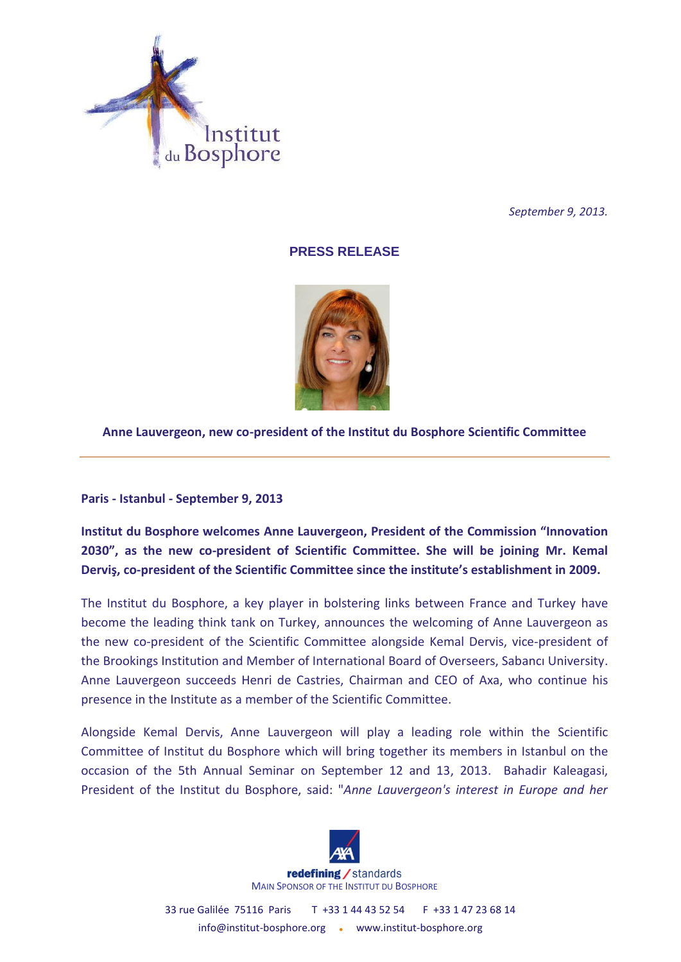

*September 9, 2013.*

## **PRESS RELEASE**



## **Anne Lauvergeon, new co-president of the Institut du Bosphore Scientific Committee**

**Paris - Istanbul - September 9, 2013** 

**Institut du Bosphore welcomes Anne Lauvergeon, President of the Commission "Innovation 2030", as the new co-president of Scientific Committee. She will be joining Mr. Kemal Derviş, co-president of the Scientific Committee since the institute's establishment in 2009.**

The Institut du Bosphore, a key player in bolstering links between France and Turkey have become the leading think tank on Turkey, announces the welcoming of Anne Lauvergeon as the new co-president of the Scientific Committee alongside Kemal Dervis, vice-president of the Brookings Institution and Member of International Board of Overseers, Sabancı University. Anne Lauvergeon succeeds Henri de Castries, Chairman and CEO of Axa, who continue his presence in the Institute as a member of the Scientific Committee.

Alongside Kemal Dervis, Anne Lauvergeon will play a leading role within the Scientific Committee of Institut du Bosphore which will bring together its members in Istanbul on the occasion of the 5th Annual Seminar on September 12 and 13, 2013. Bahadir Kaleagasi, President of the Institut du Bosphore, said: "*Anne Lauvergeon's interest in Europe and her* 



33 rue Galilée 75116 Paris T +33 1 44 43 52 54 F +33 1 47 23 68 14 info@institut-bosphore.org . www.institut-bosphore.org